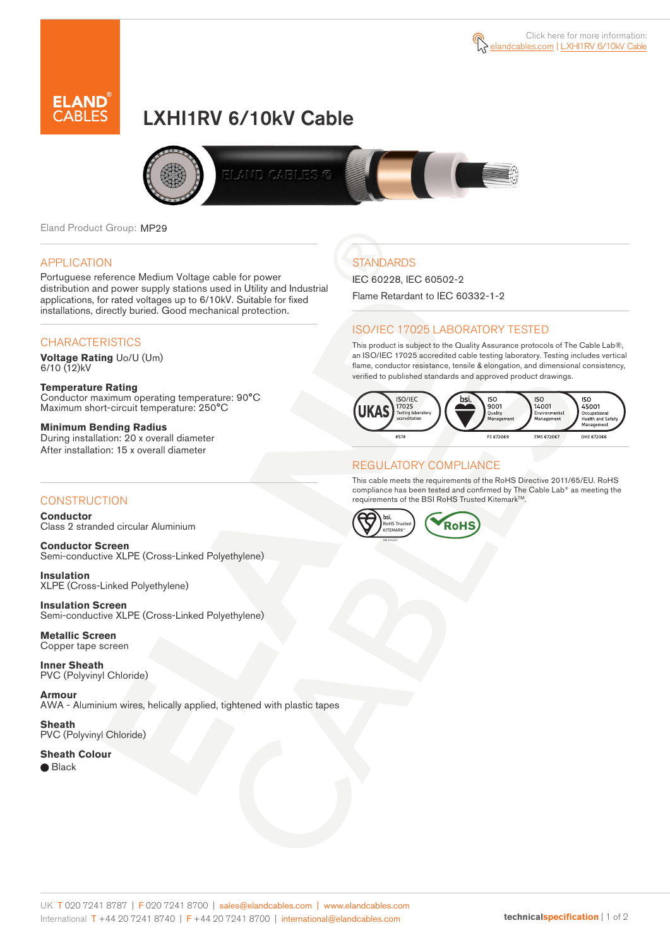

# LXHI1RV 6/10kV Cable



Eland Product Group: MP29

#### APPLICATION

Portuguese reference Medium Voltage cable for power distribution and power supply stations used in Utility and Industrial applications, for rated voltages up to 6/10kV. Suitable for fixed installations, directly buried. Good mechanical protection.

### **CHARACTERISTICS**

**Voltage Rating** Uo/U (Um) 6/10 (12)kV

**Temperature Rating** Conductor maximum operating temperature: 90°C Maximum short-circuit temperature: 250°C

**Minimum Bending Radius** During installation: 20 x overall diameter After installation: 15 x overall diameter

### **CONSTRUCTION**

**Conductor**  Class 2 stranded circular Aluminium

**Conductor Screen** Semi-conductive XLPE (Cross-Linked Polyethylene)

**Insulation** XLPE (Cross-Linked Polyethylene)

**Insulation Screen** Semi-conductive XLPE (Cross-Linked Polyethylene)

**Metallic Screen**  Copper tape screen

**Inner Sheath** PVC (Polyvinyl Chloride)

**Armour** AWA - Aluminium wires, helically applied, tightened with plastic tapes

**Sheath** PVC (Polyvinyl Chloride)

**Sheath Colour**  ● Black

# **STANDARDS**

IEC 60228, IEC 60502-2 Flame Retardant to IEC 60332-1-2

### ISO/IEC 17025 LABORATORY TESTED

This product is subject to the Quality Assurance protocols of The Cable Lab®, an ISO/IEC 17025 accredited cable testing laboratory. Testing includes vertical flame, conductor resistance, tensile & elongation, and dimensional consistency, verified to published standards and approved product drawings.



### REGULATORY COMPLIANCE

This cable meets the requirements of the RoHS Directive 2011/65/EU. RoHS compliance has been tested and confirmed by The Cable Lab® as meeting the requirements of the BSI RoHS Trusted Kitemark™.